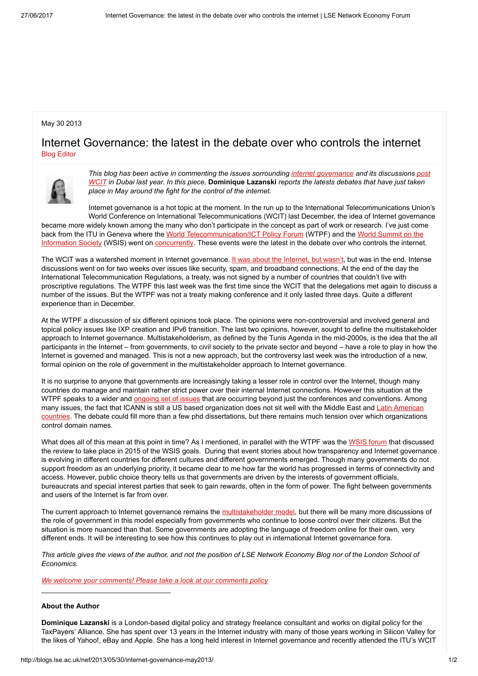## May 30 2013

## Internet Governance: the latest in the debate over who controls the internet Blog [Editor](http://blogs.lse.ac.uk/nef/author/bonina/)



This blog has been active in [commenting](http://blogs.lse.ac.uk/nef/2013/03/18/internet-post-dubai/) the issues sorrounding internet [governance](http://blogs.lse.ac.uk/nef/2013/04/04/postwcit-internet-governance/) and its discussions post WCIT in Dubai last year. In this piece, Dominique Lazanski reports the latests debates that have just taken place in May around the fight for the control of the internet.

Internet governance is a hot topic at the moment. In the run up to the International Telecommunications Union's World Conference on International Telecommunications (WCIT) last December, the idea of Internet governance became more widely known among the many who don't participate in the concept as part of work or research. I've just come back from the ITU in Geneva where the World [Telecommunication/ICT](http://www.itu.int/wsis/index.html) Policy Forum (WTPF) and the World Summit on the

Information Society (WSIS) went on [concurrently.](http://www.itu.int/wsis/implementation/2013/forum/) These events were the latest in the debate over who controls the internet.

The WCIT was a watershed moment in Internet governance. It was about the [Internet,](https://www.taxpayersalliance.com/digital/2012/12/treaty-internet.html) but wasn't, but was in the end. Intense discussions went on for two weeks over issues like security, spam, and broadband connections. At the end of the day the International Telecommunication Regulations, a treaty, was not signed by a number of countries that couldn't live with proscriptive regulations. The WTPF this last week was the first time since the WCIT that the delegations met again to discuss a number of the issues. But the WTPF was not a treaty making conference and it only lasted three days. Quite a different experience than in December.

At the WTPF a discussion of six different opinions took place. The opinions were non-controversial and involved general and topical policy issues like IXP creation and IPv6 transition. The last two opinions, however, sought to define the multistakeholder approach to Internet governance. Multistakeholderism, as defined by the Tunis Agenda in the mid-2000s, is the idea that the all participants in the Internet – from governments, to civil society to the private sector and beyond – have a role to play in how the Internet is governed and managed. This is not a new approach, but the controversy last week was the introduction of a new, formal opinion on the role of government in the multistakeholder approach to Internet governance.

It is no surprise to anyone that governments are increasingly taking a lesser role in control over the Internet, though many countries do manage and maintain rather strict power over their internal Internet connections. However this situation at the WTPF speaks to a wider and [ongoing](http://blogs.lse.ac.uk/nef/2013/03/28/europes-postdubai/) set of issues that are occurring beyond just the conferences and conventions. Among many issues, the fact that ICANN is still a US based organization does not sit well with the Middle East and Latin American countries. The debate could fill more than a few phd [dissertations,](http://blogs.lse.ac.uk/nef/2013/04/04/postwcit-internet-governance/) but there remains much tension over which organizations control domain names.

What does all of this mean at this point in time? As I mentioned, in parallel with the WTPF was the [WSIS](http://www.itu.int/wsis/index.html) forum that discussed the review to take place in 2015 of the WSIS goals. During that event stories about how transparency and Internet governance is evolving in different countries for different cultures and different governments emerged. Though many governments do not support freedom as an underlying priority, it became clear to me how far the world has progressed in terms of connectivity and access. However, public choice theory tells us that governments are driven by the interests of government officials, bureaucrats and special interest parties that seek to gain rewards, often in the form of power. The fight between governments and users of the Internet is far from over.

The current approach to Internet governance remains the [multistakeholder](http://blogs.lse.ac.uk/nef/2013/04/04/postwcit-internet-governance/) model, but there will be many more discussions of the role of government in this model especially from governments who continue to loose control over their citizens. But the situation is more nuanced than that. Some governments are adopting the language of freedom online for their own, very different ends. It will be interesting to see how this continues to play out in international Internet governance fora.

This article gives the views of the author, and not the position of LSE Network Economy Blog nor of the London School of Economics.

We welcome your [comments!](http://blogs.lse.ac.uk/nef/about/comments-policy/) Please take a look at our comments policy

## About the Author

Dominique Lazanski is a London-based digital policy and strategy freelance consultant and works on digital policy for the TaxPayers' Alliance. She has spent over 13 years in the Internet industry with many of those years working in Silicon Valley for the likes of Yahoo!, eBay and Apple. She has a long held interest in Internet governance and recently attended the ITU's WCIT

\_\_\_\_\_\_\_\_\_\_\_\_\_\_\_\_\_\_\_\_\_\_\_\_\_\_\_\_\_\_\_\_\_